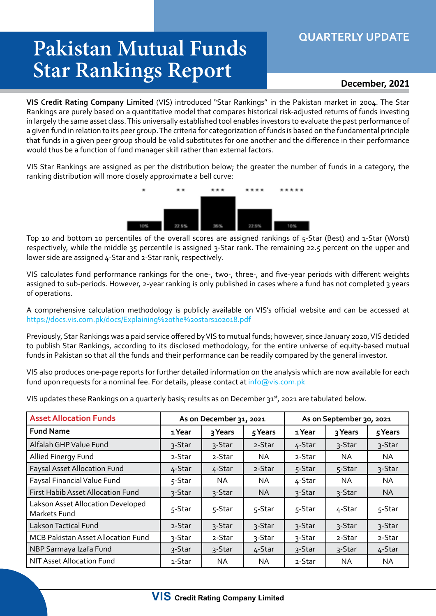## **QUARTERLY UPDATE**

## **Pakistan Mutual Funds Star Rankings Report**

## **December, 2021**

**VIS Credit Rating Company Limited** (VIS) introduced "Star Rankings" in the Pakistan market in 2004. The Star Rankings are purely based on a quantitative model that compares historical risk-adjusted returns of funds investing in largely the same asset class. This universally established tool enables investors to evaluate the past performance of a given fund in relation to its peer group. The criteria for categorization of funds is based on the fundamental principle that funds in a given peer group should be valid substitutes for one another and the difference in their performance would thus be a function of fund manager skill rather than external factors.

VIS Star Rankings are assigned as per the distribution below; the greater the number of funds in a category, the ranking distribution will more closely approximate a bell curve:



Top 10 and bottom 10 percentiles of the overall scores are assigned rankings of 5-Star (Best) and 1-Star (Worst) respectively, while the middle 35 percentile is assigned 3-Star rank. The remaining 22.5 percent on the upper and lower side are assigned 4-Star and 2-Star rank, respectively.

VIS calculates fund performance rankings for the one-, two-, three-, and five-year periods with different weights assigned to sub-periods. However, 2-year ranking is only published in cases where a fund has not completed 3 years of operations.

A comprehensive calculation methodology is publicly available on VIS's official website and can be accessed at https://docs.vis.com.pk/docs/Explaining%20the%20stars102018.pdf

Previously, Star Rankings was a paid service offered by VIS to mutual funds; however, since January 2020, VIS decided to publish Star Rankings, according to its disclosed methodology, for the entire universe of equity-based mutual funds in Pakistan so that all the funds and their performance can be readily compared by the general investor.

VIS also produces one-page reports for further detailed information on the analysis which are now available for each fund upon requests for a nominal fee. For details, please contact at info@vis.com.pk

VIS updates these Rankings on a quarterly basis; results as on December 31st, 2021 are tabulated below.

| <b>Asset Allocation Funds</b>                     | As on December 31, 2021 |         |         | As on September 30, 2021 |           |           |  |
|---------------------------------------------------|-------------------------|---------|---------|--------------------------|-----------|-----------|--|
| <b>Fund Name</b>                                  | 1 Year                  | 3 Years | 5 Years | 1 Year                   | 3 Years   | 5 Years   |  |
| Alfalah GHP Value Fund                            | 3-Star                  | 3-Star  | 2-Star  | 4-Star                   | 3-Star    | 3-Star    |  |
| Allied Finergy Fund                               | 2-Star                  | 2-Star  | NA.     | 2-Star                   | NA.       | NA.       |  |
| <b>Faysal Asset Allocation Fund</b>               | 4-Star                  | 4-Star  | 2-Star  | 5-Star                   | 5-Star    | 3-Star    |  |
| Faysal Financial Value Fund                       | 5-Star                  | NA.     | NA      | 4-Star                   | NA.       | NA.       |  |
| First Habib Asset Allocation Fund                 | 3-Star                  | 3-Star  | NA.     | 3-Star                   | 3-Star    | <b>NA</b> |  |
| Lakson Asset Allocation Developed<br>Markets Fund | 5-Star                  | 5-Star  | 5-Star  | 5-Star                   | 4-Star    | 5-Star    |  |
| <b>Lakson Tactical Fund</b>                       | 2-Star                  | 3-Star  | 3-Star  | 3-Star                   | 3-Star    | 3-Star    |  |
| MCB Pakistan Asset Allocation Fund                | 3-Star                  | 2-Star  | 3-Star  | 3-Star                   | 2-Star    | 2-Star    |  |
| NBP Sarmaya Izafa Fund                            | 3-Star                  | 3-Star  | 4-Star  | 3-Star                   | 3-Star    | 4-Star    |  |
| NIT Asset Allocation Fund                         | 1-Star                  | ΝA      | NA      | 2-Star                   | <b>NA</b> | <b>NA</b> |  |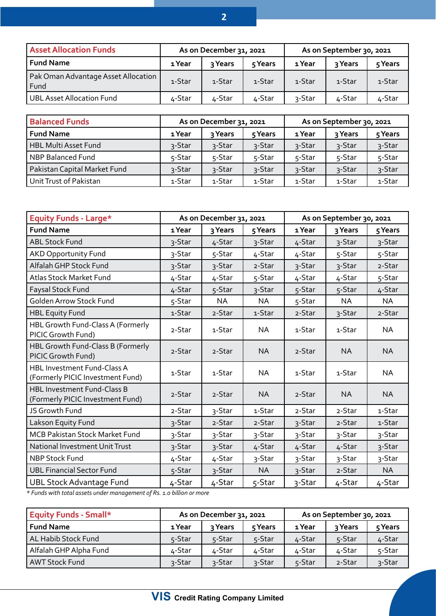| <b>Asset Allocation Funds</b>               | As on December 31, 2021 |         |         | As on September 30, 2021 |         |         |
|---------------------------------------------|-------------------------|---------|---------|--------------------------|---------|---------|
| <b>Fund Name</b>                            | 1 Year                  | २ Years | 5 Years | 1 Year                   | २ Years | 5 Years |
| Pak Oman Advantage Asset Allocation<br>Fund | 1-Star                  | 1-Star  | 1-Star  | 1-Star                   | 1-Star  | 1-Star  |
| <b>UBL Asset Allocation Fund</b>            | ∡-Star                  | 4-Star  | 4-Star  | 3-Star                   | 4-Star  | 4-Star  |

| <b>Balanced Funds</b>        | As on December 31, 2021 |         |         | As on September 30, 2021 |         |         |
|------------------------------|-------------------------|---------|---------|--------------------------|---------|---------|
| <b>Fund Name</b>             | 1 Year                  | २ Years | 5 Years | 1 Year                   | २ Years | 5 Years |
| HBL Multi Asset Fund         | 3-Star                  | 3-Star  | 3-Star  | 3-Star                   | 3-Star  | 3-Star  |
| NBP Balanced Fund            | 5-Star                  | 5-Star  | 5-Star  | 5-Star                   | 5-Star  | 5-Star  |
| Pakistan Capital Market Fund | 3-Star                  | 3-Star  | 3-Star  | 3-Star                   | 3-Star  | 3-Star  |
| Unit Trust of Pakistan       | 1-Star                  | 1-Star  | 1-Star  | 1-Star                   | 1-Star  | 1-Star  |

| <b>Equity Funds - Large*</b>                                           | As on December 31, 2021 |         |           | As on September 30, 2021 |           |           |  |
|------------------------------------------------------------------------|-------------------------|---------|-----------|--------------------------|-----------|-----------|--|
| <b>Fund Name</b>                                                       | 1 Year                  | 3 Years | 5 Years   | 1 Year                   | 3 Years   | 5 Years   |  |
| <b>ABL Stock Fund</b>                                                  | 3-Star                  | 4-Star  | 3-Star    | 4-Star                   | 3-Star    | 3-Star    |  |
| <b>AKD Opportunity Fund</b>                                            | 3-Star                  | 5-Star  | 4-Star    | 4-Star                   | 5-Star    | 5-Star    |  |
| Alfalah GHP Stock Fund                                                 | 3-Star                  | 3-Star  | 2-Star    | 3-Star                   | 3-Star    | 2-Star    |  |
| Atlas Stock Market Fund                                                | 4-Star                  | 4-Star  | 5-Star    | 4-Star                   | 4-Star    | 5-Star    |  |
| Faysal Stock Fund                                                      | 4-Star                  | 5-Star  | 3-Star    | 5-Star                   | 5-Star    | 4-Star    |  |
| Golden Arrow Stock Fund                                                | 5-Star                  | NA      | NA        | 5-Star                   | <b>NA</b> | NA        |  |
| <b>HBL Equity Fund</b>                                                 | 1-Star                  | 2-Star  | 1-Star    | 2-Star                   | 3-Star    | 2-Star    |  |
| HBL Growth Fund-Class A (Formerly<br>PICIC Growth Fund)                | 2-Star                  | 1-Star  | <b>NA</b> | 1-Star                   | 1-Star    | NA.       |  |
| HBL Growth Fund-Class B (Formerly<br>PICIC Growth Fund)                | 2-Star                  | 2-Star  | <b>NA</b> | 2-Star                   | <b>NA</b> | <b>NA</b> |  |
| <b>HBL Investment Fund-Class A</b><br>(Formerly PICIC Investment Fund) | 1-Star                  | 1-Star  | <b>NA</b> | 1-Star                   | 1-Star    | <b>NA</b> |  |
| <b>HBL Investment Fund-Class B</b><br>(Formerly PICIC Investment Fund) | 2-Star                  | 2-Star  | <b>NA</b> | 2-Star                   | <b>NA</b> | <b>NA</b> |  |
| JS Growth Fund                                                         | 2-Star                  | 3-Star  | 1-Star    | 2-Star                   | 2-Star    | 1-Star    |  |
| Lakson Equity Fund                                                     | 3-Star                  | 2-Star  | 2-Star    | 3-Star                   | 2-Star    | 1-Star    |  |
| <b>MCB Pakistan Stock Market Fund</b>                                  | 3-Star                  | 3-Star  | 3-Star    | 3-Star                   | 3-Star    | 3-Star    |  |
| National Investment Unit Trust                                         | 3-Star                  | 3-Star  | 4-Star    | 4-Star                   | 4-Star    | 3-Star    |  |
| <b>NBP Stock Fund</b>                                                  | 4-Star                  | 4-Star  | 3-Star    | 3-Star                   | 3-Star    | 3-Star    |  |
| <b>UBL Financial Sector Fund</b>                                       | 5-Star                  | 3-Star  | <b>NA</b> | 3-Star                   | 2-Star    | <b>NA</b> |  |
| <b>UBL Stock Advantage Fund</b>                                        | 4-Star                  | 4-Star  | 5-Star    | 3-Star                   | 4-Star    | 4-Star    |  |

*\* Funds with total assets under management of Rs. 1.0 billion or more*

| <b>Equity Funds - Small*</b> | As on December 31, 2021 |         |         | As on September 30, 2021 |         |         |
|------------------------------|-------------------------|---------|---------|--------------------------|---------|---------|
| <b>Fund Name</b>             | 1 Year                  | २ Years | 5 Years | 1 Year                   | २ Years | 5 Years |
| AL Habib Stock Fund          | 5-Star                  | 5-Star  | 5-Star  | 4-Star                   | 5-Star  | 4-Star  |
| Alfalah GHP Alpha Fund       | ∡-Star                  | 4-Star  | 4-Star  | 4-Star                   | 4-Star  | 5-Star  |
| <b>AWT Stock Fund</b>        | 3-Star                  | 3-Star  | 3-Star  | 5-Star                   | 2-Star  | 3-Star  |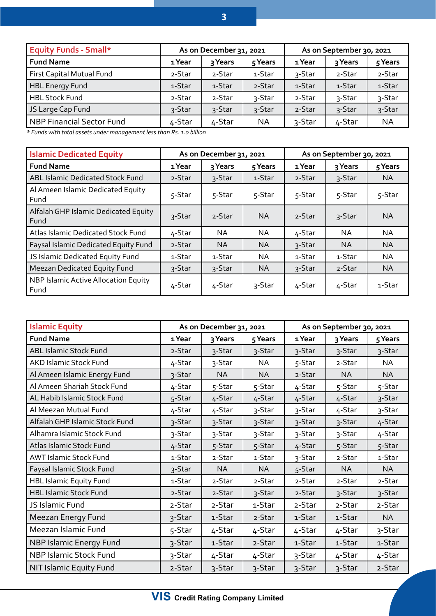| <b>Equity Funds - Small*</b>     | As on December 31, 2021 |         |           | As on September 30, 2021 |         |           |
|----------------------------------|-------------------------|---------|-----------|--------------------------|---------|-----------|
| <b>Fund Name</b>                 | 1 Year                  | 3 Years | 5 Years   | 1 Year                   | 3 Years | 5 Years   |
| First Capital Mutual Fund        | 2-Star                  | 2-Star  | 1-Star    | 3-Star                   | 2-Star  | 2-Star    |
| HBL Energy Fund                  | 1-Star                  | 1-Star  | 2-Star    | 1-Star                   | 1-Star  | 1-Star    |
| <b>HBL Stock Fund</b>            | 2-Star                  | 2-Star  | 3-Star    | 2-Star                   | 3-Star  | 3-Star    |
| JS Large Cap Fund                | 3-Star                  | 3-Star  | 3-Star    | 2-Star                   | 3-Star  | 3-Star    |
| <b>NBP Financial Sector Fund</b> | 4-Star                  | 4-Star  | <b>NA</b> | 3-Star                   | 4-Star  | <b>NA</b> |

*\* Funds with total assets under management less than Rs. 1.0 billion*

| <b>Islamic Dedicated Equity</b>              | As on December 31, 2021 |           |           | As on September 30, 2021 |           |           |
|----------------------------------------------|-------------------------|-----------|-----------|--------------------------|-----------|-----------|
| <b>Fund Name</b>                             | 1 Year                  | २ Years   | 5 Years   | 1 Year                   | 3 Years   | 5 Years   |
| ABL Islamic Dedicated Stock Fund             | 2-Star                  | 3-Star    | 1-Star    | 2-Star                   | 3-Star    | <b>NA</b> |
| Al Ameen Islamic Dedicated Equity<br>Fund    | 5-Star                  | 5-Star    | 5-Star    | 5-Star                   | 5-Star    | 5-Star    |
| Alfalah GHP Islamic Dedicated Equity<br>Fund | 3-Star                  | 2-Star    | <b>NA</b> | 2-Star                   | 3-Star    | <b>NA</b> |
| Atlas Islamic Dedicated Stock Fund           | 4-Star                  | NA        | NA        | 4-Star                   | <b>NA</b> | <b>NA</b> |
| Faysal Islamic Dedicated Equity Fund         | 2-Star                  | <b>NA</b> | <b>NA</b> | 3-Star                   | <b>NA</b> | <b>NA</b> |
| JS Islamic Dedicated Equity Fund             | 1-Star                  | 1-Star    | NA        | 1-Star                   | 1-Star    | NA        |
| <b>Meezan Dedicated Equity Fund</b>          | 3-Star                  | 3-Star    | <b>NA</b> | 3-Star                   | 2-Star    | <b>NA</b> |
| NBP Islamic Active Allocation Equity<br>Fund | 4-Star                  | 4-Star    | 3-Star    | 4-Star                   | 4-Star    | 1-Star    |

| <b>Islamic Equity</b>          | As on December 31, 2021 |           |           | As on September 30, 2021 |           |           |
|--------------------------------|-------------------------|-----------|-----------|--------------------------|-----------|-----------|
| <b>Fund Name</b>               | 1 Year                  | 3 Years   | 5 Years   | 1 Year                   | 3 Years   | 5 Years   |
| <b>ABL Islamic Stock Fund</b>  | 2-Star                  | 3-Star    | 3-Star    | 3-Star                   | 3-Star    | 3-Star    |
| AKD Islamic Stock Fund         | 4-Star                  | 3-Star    | <b>NA</b> | 5-Star                   | 2-Star    | <b>NA</b> |
| Al Ameen Islamic Energy Fund   | 3-Star                  | <b>NA</b> | <b>NA</b> | 2-Star                   | <b>NA</b> | <b>NA</b> |
| Al Ameen Shariah Stock Fund    | 4-Star                  | 5-Star    | 5-Star    | 4-Star                   | 5-Star    | 5-Star    |
| AL Habib Islamic Stock Fund    | 5-Star                  | 4-Star    | 4-Star    | 4-Star                   | 4-Star    | 3-Star    |
| Al Meezan Mutual Fund          | 4-Star                  | 4-Star    | 3-Star    | 3-Star                   | 4-Star    | 3-Star    |
| Alfalah GHP Islamic Stock Fund | 3-Star                  | 3-Star    | 3-Star    | 3-Star                   | 3-Star    | 4-Star    |
| Alhamra Islamic Stock Fund     | 3-Star                  | 3-Star    | 3-Star    | 3-Star                   | 3-Star    | 4-Star    |
| Atlas Islamic Stock Fund       | 4-Star                  | 5-Star    | 5-Star    | 4-Star                   | 5-Star    | 5-Star    |
| <b>AWT Islamic Stock Fund</b>  | 1-Star                  | 2-Star    | 1-Star    | 3-Star                   | 2-Star    | 1-Star    |
| Faysal Islamic Stock Fund      | 3-Star                  | <b>NA</b> | NA        | 5-Star                   | <b>NA</b> | <b>NA</b> |
| <b>HBL Islamic Equity Fund</b> | 1-Star                  | 2-Star    | 2-Star    | 2-Star                   | 2-Star    | 2-Star    |
| <b>HBL Islamic Stock Fund</b>  | 2-Star                  | 2-Star    | 3-Star    | 2-Star                   | 3-Star    | 3-Star    |
| JS Islamic Fund                | 2-Star                  | 2-Star    | 1-Star    | 2-Star                   | 2-Star    | 2-Star    |
| Meezan Energy Fund             | 3-Star                  | 1-Star    | 2-Star    | 1-Star                   | 1-Star    | <b>NA</b> |
| Meezan Islamic Fund            | 5-Star                  | 4-Star    | 4-Star    | 4-Star                   | 4-Star    | 3-Star    |
| NBP Islamic Energy Fund        | 3-Star                  | 1-Star    | 2-Star    | 1-Star                   | 1-Star    | 1-Star    |
| NBP Islamic Stock Fund         | 3-Star                  | 4-Star    | 4-Star    | 3-Star                   | 4-Star    | 4-Star    |
| NIT Islamic Equity Fund        | 2-Star                  | 3-Star    | 3-Star    | 3-Star                   | 3-Star    | 2-Star    |